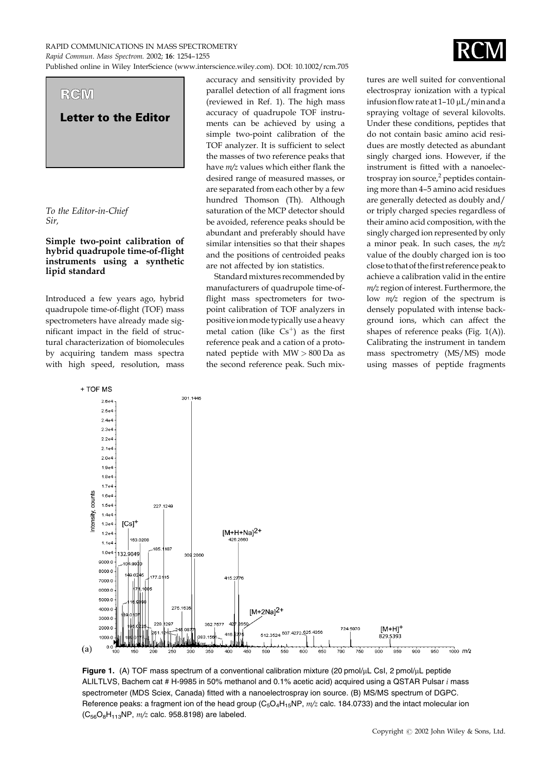RAPID COMMUNICATIONS IN MASS SPECTROMETRY Rapid Commun. Mass Spectrom. 2002; **16**: 1254–1255

Published online in Wiley InterScience (www.interscience.wiley.com). DOI: 10.1002/rcm.705



To the Editor-in-Chief Sir.

## Simple two-point calibration of hybrid quadrupole time-of-flight instruments using a synthetic lipid standard

Introduced a few years ago, hybrid quadrupole time-of-flight (TOF) mass spectrometers have already made significant impact in the field of structural characterization of biomolecules by acquiring tandem mass spectra with high speed, resolution, mass accuracy and sensitivity provided by parallel detection of all fragment ions (reviewed in Ref. 1). The high mass accuracy of quadrupole TOF instruments can be achieved by using a simple two-point calibration of the TOF analyzer. It is sufficient to select the masses of two reference peaks that have *m/z* values which either flank the desired range of measured masses, or are separated from each other by a few hundred Thomson (Th). Although saturation of the MCP detector should be avoided, reference peaks should be abundant and preferably should have similar intensities so that their shapes and the positions of centroided peaks are not affected by ion statistics.

Standard mixtures recommended by manufacturers of quadrupole time-offlight mass spectrometers for twopoint calibration of TOF analyzers in positive ion mode typically use a heavy metal cation (like  $\text{Cs}^+$ ) as the first reference peak and a cation of a protonated peptide with MW > 800 Da as the second reference peak. Such mixtures are well suited for conventional electrospray ionization with a typical infusion flow rate at 1-10 µL/min and a spraying voltage of several kilovolts. Under these conditions, peptides that do not contain basic amino acid residues are mostly detected as abundant singly charged ions. However, if the instrument is fitted with a nanoelectrospray ion source,<sup>2</sup> peptides containing more than 4–5 amino acid residues are generally detected as doubly and/ or triply charged species regardless of their amino acid composition*,* with the singly charged ion represented by only a minor peak. In such cases, the m/z value of the doubly charged ion is too close to that of the first reference peak to achieve a calibration valid in the entire *m/z* region of interest. Furthermore*,* the low *m/z* region of the spectrum is densely populated with intense background ions, which can affect the shapes of reference peaks (Fig.  $1(A)$ ). Calibrating the instrument in tandem mass spectrometry (MS/MS) mode using masses of peptide fragments



**Figure 1.** (A) TOF mass spectrum of a conventional calibration mixture (20 pmol/uL CsI, 2 pmol/uL peptide ALILTLVS, Bachem cat # H-9985 in 50% methanol and 0.1% acetic acid) acquired using a QSTAR Pulsar *i* mass spectrometer (MDS Sciex, Canada) fitted with a nanoelectrospray ion source. (B) MS/MS spectrum of DGPC. Reference peaks: a fragment ion of the head group ( $C_5O_4H_{15}NP$ ,  $m/z$  calc. 184.0733) and the intact molecular ion  $(C_{56}O_8H_{113}NP, m/z$  calc. 958.8198) are labeled.